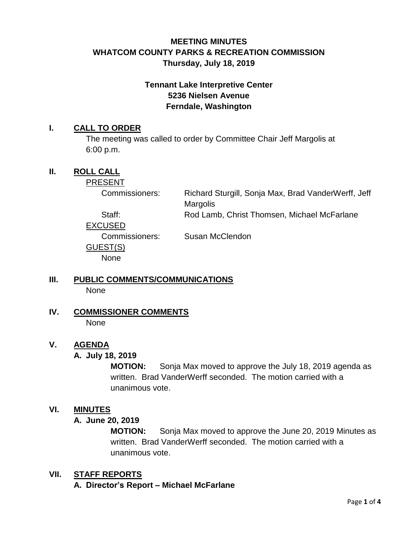# **MEETING MINUTES WHATCOM COUNTY PARKS & RECREATION COMMISSION Thursday, July 18, 2019**

# **Tennant Lake Interpretive Center 5236 Nielsen Avenue Ferndale, Washington**

## **I. CALL TO ORDER**

The meeting was called to order by Committee Chair Jeff Margolis at 6:00 p.m.

## **II. ROLL CALL**

PRESENT

Commissioners: Richard Sturgill, Sonja Max, Brad VanderWerff, Jeff Margolis Staff: Rod Lamb, Christ Thomsen, Michael McFarlane

EXCUSED GUEST(S) None

Commissioners: Susan McClendon

## **III. PUBLIC COMMENTS/COMMUNICATIONS** None

**IV. COMMISSIONER COMMENTS**

None

# **V. AGENDA**

### **A. July 18, 2019**

**MOTION:** Sonja Max moved to approve the July 18, 2019 agenda as written. Brad VanderWerff seconded. The motion carried with a unanimous vote.

### **VI. MINUTES**

### **A. June 20, 2019**

**MOTION:** Sonja Max moved to approve the June 20, 2019 Minutes as written. Brad VanderWerff seconded. The motion carried with a unanimous vote.

# **VII. STAFF REPORTS**

**A. Director's Report – Michael McFarlane**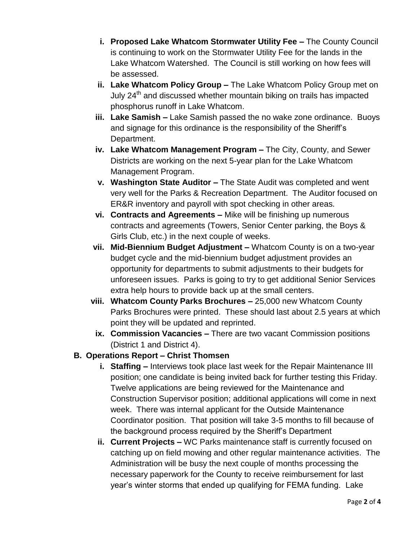- **i. Proposed Lake Whatcom Stormwater Utility Fee –** The County Council is continuing to work on the Stormwater Utility Fee for the lands in the Lake Whatcom Watershed. The Council is still working on how fees will be assessed.
- **ii. Lake Whatcom Policy Group –** The Lake Whatcom Policy Group met on July 24<sup>th</sup> and discussed whether mountain biking on trails has impacted phosphorus runoff in Lake Whatcom.
- **iii. Lake Samish –** Lake Samish passed the no wake zone ordinance. Buoys and signage for this ordinance is the responsibility of the Sheriff's Department.
- **iv. Lake Whatcom Management Program –** The City, County, and Sewer Districts are working on the next 5-year plan for the Lake Whatcom Management Program.
- **v. Washington State Auditor –** The State Audit was completed and went very well for the Parks & Recreation Department. The Auditor focused on ER&R inventory and payroll with spot checking in other areas.
- **vi. Contracts and Agreements –** Mike will be finishing up numerous contracts and agreements (Towers, Senior Center parking, the Boys & Girls Club, etc.) in the next couple of weeks.
- **vii. Mid-Biennium Budget Adjustment –** Whatcom County is on a two-year budget cycle and the mid-biennium budget adjustment provides an opportunity for departments to submit adjustments to their budgets for unforeseen issues. Parks is going to try to get additional Senior Services extra help hours to provide back up at the small centers.
- **viii. Whatcom County Parks Brochures –** 25,000 new Whatcom County Parks Brochures were printed. These should last about 2.5 years at which point they will be updated and reprinted.
- **ix. Commission Vacancies –** There are two vacant Commission positions (District 1 and District 4).

# **B. Operations Report – Christ Thomsen**

- **i. Staffing –** Interviews took place last week for the Repair Maintenance III position; one candidate is being invited back for further testing this Friday. Twelve applications are being reviewed for the Maintenance and Construction Supervisor position; additional applications will come in next week. There was internal applicant for the Outside Maintenance Coordinator position. That position will take 3-5 months to fill because of the background process required by the Sheriff's Department
- **ii. Current Projects –** WC Parks maintenance staff is currently focused on catching up on field mowing and other regular maintenance activities. The Administration will be busy the next couple of months processing the necessary paperwork for the County to receive reimbursement for last year's winter storms that ended up qualifying for FEMA funding. Lake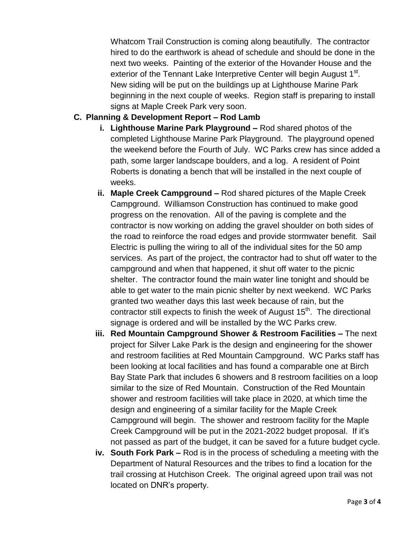Whatcom Trail Construction is coming along beautifully. The contractor hired to do the earthwork is ahead of schedule and should be done in the next two weeks. Painting of the exterior of the Hovander House and the exterior of the Tennant Lake Interpretive Center will begin August 1<sup>st</sup>. New siding will be put on the buildings up at Lighthouse Marine Park beginning in the next couple of weeks. Region staff is preparing to install signs at Maple Creek Park very soon.

# **C. Planning & Development Report – Rod Lamb**

- **i. Lighthouse Marine Park Playground –** Rod shared photos of the completed Lighthouse Marine Park Playground. The playground opened the weekend before the Fourth of July. WC Parks crew has since added a path, some larger landscape boulders, and a log. A resident of Point Roberts is donating a bench that will be installed in the next couple of weeks.
- **ii. Maple Creek Campground –** Rod shared pictures of the Maple Creek Campground. Williamson Construction has continued to make good progress on the renovation. All of the paving is complete and the contractor is now working on adding the gravel shoulder on both sides of the road to reinforce the road edges and provide stormwater benefit. Sail Electric is pulling the wiring to all of the individual sites for the 50 amp services. As part of the project, the contractor had to shut off water to the campground and when that happened, it shut off water to the picnic shelter. The contractor found the main water line tonight and should be able to get water to the main picnic shelter by next weekend. WC Parks granted two weather days this last week because of rain, but the contractor still expects to finish the week of August 15<sup>th</sup>. The directional signage is ordered and will be installed by the WC Parks crew.
- **iii. Red Mountain Campground Shower & Restroom Facilities –** The next project for Silver Lake Park is the design and engineering for the shower and restroom facilities at Red Mountain Campground. WC Parks staff has been looking at local facilities and has found a comparable one at Birch Bay State Park that includes 6 showers and 8 restroom facilities on a loop similar to the size of Red Mountain. Construction of the Red Mountain shower and restroom facilities will take place in 2020, at which time the design and engineering of a similar facility for the Maple Creek Campground will begin. The shower and restroom facility for the Maple Creek Campground will be put in the 2021-2022 budget proposal. If it's not passed as part of the budget, it can be saved for a future budget cycle.
- **iv. South Fork Park –** Rod is in the process of scheduling a meeting with the Department of Natural Resources and the tribes to find a location for the trail crossing at Hutchison Creek. The original agreed upon trail was not located on DNR's property.